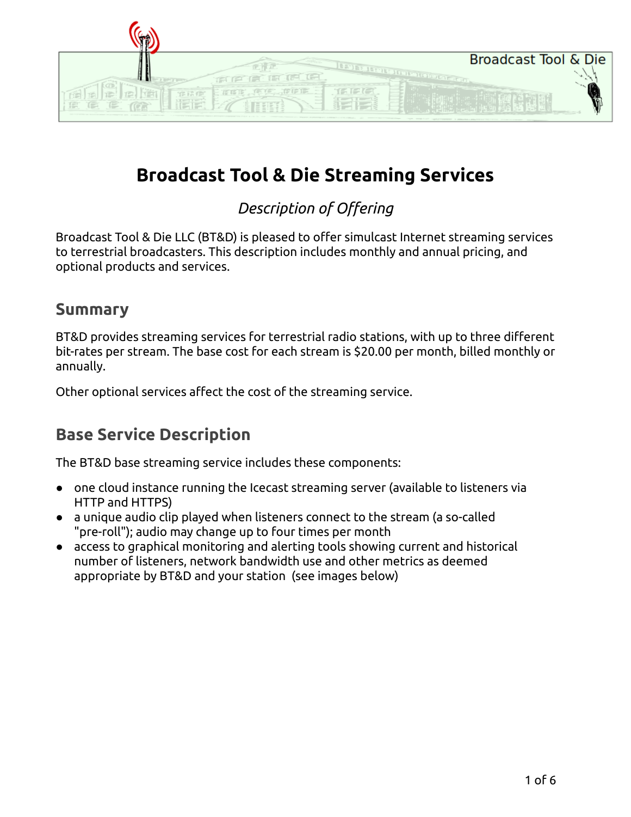| <b>Broadcast Tool &amp; Die</b><br><b>STOLEN ST</b> |
|-----------------------------------------------------|
|                                                     |
|                                                     |
|                                                     |

# **Broadcast Tool & Die Streaming Services**

#### *Description of Offering*

Broadcast Tool & Die LLC (BT&D) is pleased to offer simulcast Internet streaming services to terrestrial broadcasters. This description includes monthly and annual pricing, and optional products and services.

#### **Summary**

BT&D provides streaming services for terrestrial radio stations, with up to three different bit-rates per stream. The base cost for each stream is \$20.00 per month, billed monthly or annually.

Other optional services affect the cost of the streaming service.

## **Base Service Description**

The BT&D base streaming service includes these components:

- one cloud instance running the Icecast streaming server (available to listeners via HTTP and HTTPS)
- a unique audio clip played when listeners connect to the stream (a so-called "pre-roll"); audio may change up to four times per month
- access to graphical monitoring and alerting tools showing current and historical number of listeners, network bandwidth use and other metrics as deemed appropriate by BT&D and your station (see images below)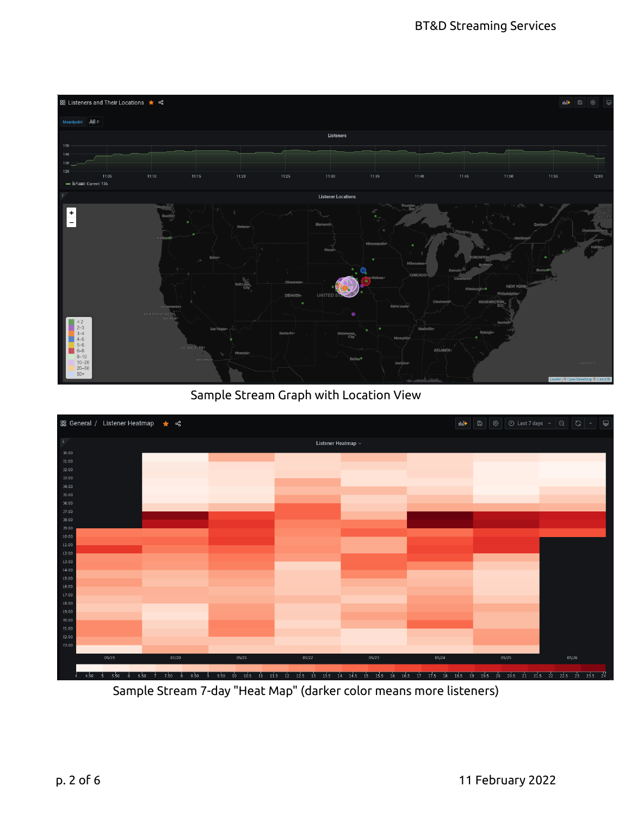

Sample Stream Graph with Location View



Sample Stream 7-day "Heat Map" (darker color means more listeners)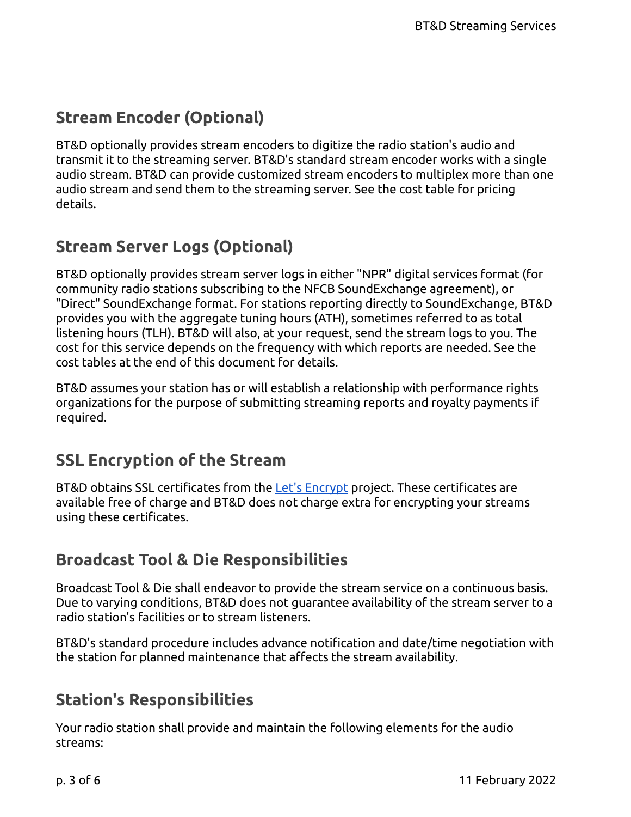## **Stream Encoder (Optional)**

BT&D optionally provides stream encoders to digitize the radio station's audio and transmit it to the streaming server. BT&D's standard stream encoder works with a single audio stream. BT&D can provide customized stream encoders to multiplex more than one audio stream and send them to the streaming server. See the cost table for pricing details.

## **Stream Server Logs (Optional)**

BT&D optionally provides stream server logs in either "NPR" digital services format (for community radio stations subscribing to the NFCB SoundExchange agreement), or "Direct" SoundExchange format. For stations reporting directly to SoundExchange, BT&D provides you with the aggregate tuning hours (ATH), sometimes referred to as total listening hours (TLH). BT&D will also, at your request, send the stream logs to you. The cost for this service depends on the frequency with which reports are needed. See the cost tables at the end of this document for details.

BT&D assumes your station has or will establish a relationship with performance rights organizations for the purpose of submitting streaming reports and royalty payments if required.

#### **SSL Encryption of the Stream**

BT&D obtains SSL certificates from the Let's [Encrypt](https://letsencrypt.org/) project. These certificates are available free of charge and BT&D does not charge extra for encrypting your streams using these certificates.

#### **Broadcast Tool & Die Responsibilities**

Broadcast Tool & Die shall endeavor to provide the stream service on a continuous basis. Due to varying conditions, BT&D does not guarantee availability of the stream server to a radio station's facilities or to stream listeners.

BT&D's standard procedure includes advance notification and date/time negotiation with the station for planned maintenance that affects the stream availability.

## **Station's Responsibilities**

Your radio station shall provide and maintain the following elements for the audio streams: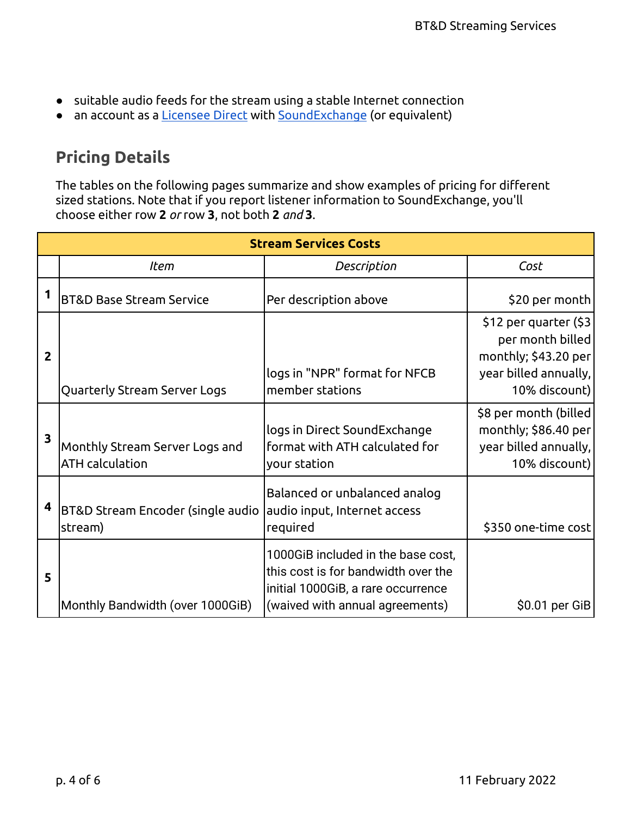- suitable audio feeds for the stream using a stable Internet connection
- an account as a [Licensee](https://licenseedirect.soundexchange.com/accounts/login) Direct with [SoundExchange](https://www.soundexchange.com/) (or equivalent)

## **Pricing Details**

The tables on the following pages summarize and show examples of pricing for different sized stations. Note that if you report listener information to SoundExchange, you'll choose either row **2** *or* row **3**, not both **2** *and* **3**.

|                | <b>Stream Services Costs</b>                             |                                                                                                                                                    |                                                                                                              |  |  |  |
|----------------|----------------------------------------------------------|----------------------------------------------------------------------------------------------------------------------------------------------------|--------------------------------------------------------------------------------------------------------------|--|--|--|
|                | <b>Item</b>                                              | Description                                                                                                                                        | Cost                                                                                                         |  |  |  |
|                | <b>BT&amp;D Base Stream Service</b>                      | Per description above                                                                                                                              | \$20 per month                                                                                               |  |  |  |
| $\overline{2}$ | Quarterly Stream Server Logs                             | logs in "NPR" format for NFCB<br>member stations                                                                                                   | \$12 per quarter (\$3)<br>per month billed<br>monthly; \$43.20 per<br>year billed annually,<br>10% discount) |  |  |  |
| 3              | Monthly Stream Server Logs and<br><b>ATH</b> calculation | logs in Direct SoundExchange<br>format with ATH calculated for<br>your station                                                                     | \$8 per month (billed<br>monthly; \$86.40 per<br>year billed annually,<br>10% discount)                      |  |  |  |
| 4              | BT&D Stream Encoder (single audio<br>stream)             | Balanced or unbalanced analog<br>audio input, Internet access<br>required                                                                          | \$350 one-time cost                                                                                          |  |  |  |
| 5              | Monthly Bandwidth (over 1000GiB)                         | 1000GiB included in the base cost,<br>this cost is for bandwidth over the<br>initial 1000GiB, a rare occurrence<br>(waived with annual agreements) | \$0.01 per GiB                                                                                               |  |  |  |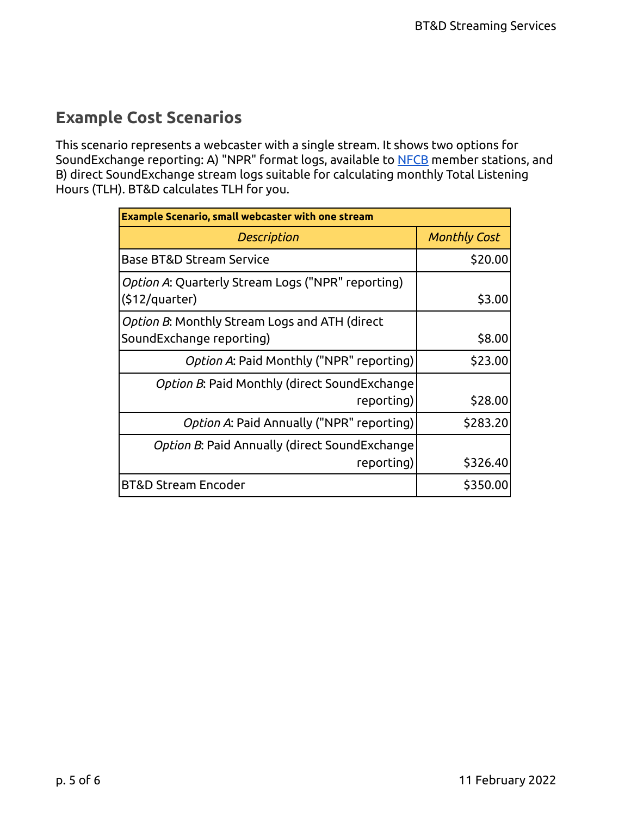### **Example Cost Scenarios**

This scenario represents a webcaster with a single stream. It shows two options for SoundExchange reporting: A) "NPR" format logs, available to [NFCB](https://nfcb.org/) member stations, and B) direct SoundExchange stream logs suitable for calculating monthly Total Listening Hours (TLH). BT&D calculates TLH for you.

| <b>Example Scenario, small webcaster with one stream</b>                  |                     |  |  |
|---------------------------------------------------------------------------|---------------------|--|--|
| Description                                                               | <b>Monthly Cost</b> |  |  |
| Base BT&D Stream Service                                                  | \$20.00             |  |  |
| Option A: Quarterly Stream Logs ("NPR" reporting)<br>$(512$ /quarter)     | \$3.00              |  |  |
| Option B: Monthly Stream Logs and ATH (direct<br>SoundExchange reporting) | \$8.00              |  |  |
| Option A: Paid Monthly ("NPR" reporting)                                  | \$23.00             |  |  |
| <i>Option B</i> : Paid Monthly (direct SoundExchange<br>reporting)        | \$28.00             |  |  |
| Option A: Paid Annually ("NPR" reporting)                                 | \$283.20            |  |  |
| Option B: Paid Annually (direct SoundExchange<br>reporting)               | \$326.40            |  |  |
| <b>BT&amp;D Stream Encoder</b>                                            | \$350.00            |  |  |